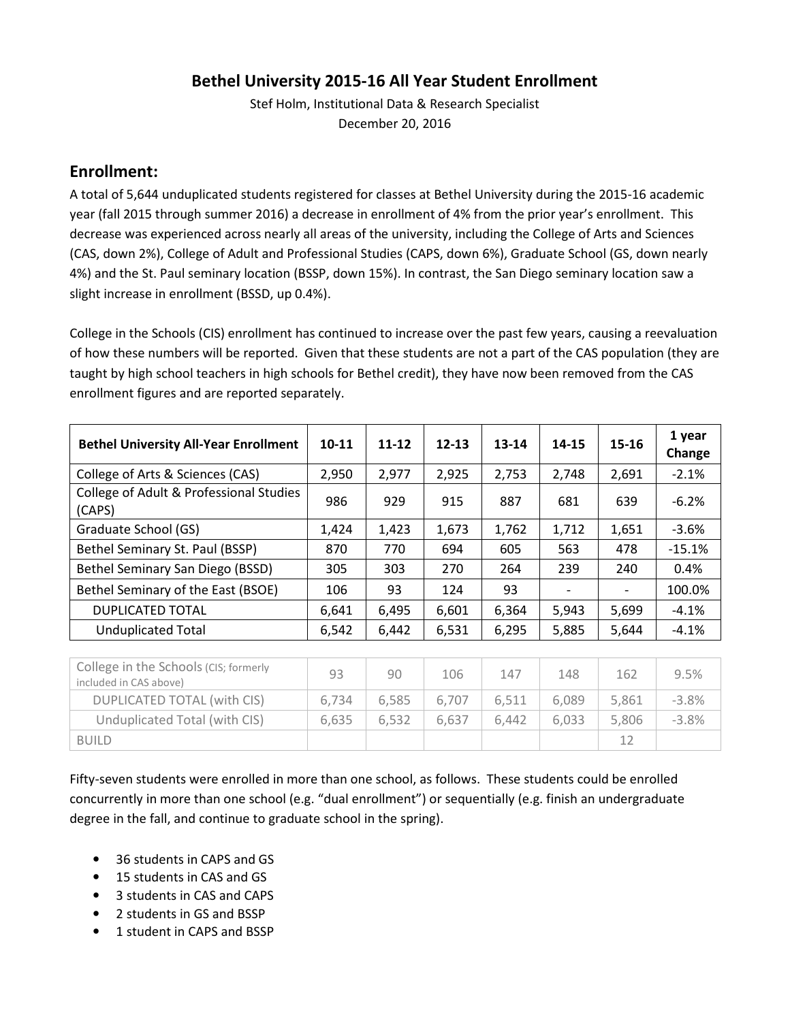#### **Bethel University 2015-16 All Year Student Enrollment**

Stef Holm, Institutional Data & Research Specialist December 20, 2016

#### **Enrollment:**

A total of 5,644 unduplicated students registered for classes at Bethel University during the 2015-16 academic year (fall 2015 through summer 2016) a decrease in enrollment of 4% from the prior year's enrollment. This decrease was experienced across nearly all areas of the university, including the College of Arts and Sciences (CAS, down 2%), College of Adult and Professional Studies (CAPS, down 6%), Graduate School (GS, down nearly 4%) and the St. Paul seminary location (BSSP, down 15%). In contrast, the San Diego seminary location saw a slight increase in enrollment (BSSD, up 0.4%).

College in the Schools (CIS) enrollment has continued to increase over the past few years, causing a reevaluation of how these numbers will be reported. Given that these students are not a part of the CAS population (they are taught by high school teachers in high schools for Bethel credit), they have now been removed from the CAS enrollment figures and are reported separately.

| <b>Bethel University All-Year Enrollment</b>                                                                                                                                                                                                                                                                                                                                                                            | $10 - 11$ | $11 - 12$ | $12 - 13$ | 13-14 | 14-15                    | 15-16 | 1 year<br>Change |
|-------------------------------------------------------------------------------------------------------------------------------------------------------------------------------------------------------------------------------------------------------------------------------------------------------------------------------------------------------------------------------------------------------------------------|-----------|-----------|-----------|-------|--------------------------|-------|------------------|
| College of Arts & Sciences (CAS)                                                                                                                                                                                                                                                                                                                                                                                        | 2,950     | 2,977     | 2,925     | 2,753 | 2,748                    | 2,691 | $-2.1%$          |
| College of Adult & Professional Studies<br>(CAPS)                                                                                                                                                                                                                                                                                                                                                                       | 986       | 929       | 915       | 887   | 681                      | 639   | $-6.2%$          |
| Graduate School (GS)                                                                                                                                                                                                                                                                                                                                                                                                    | 1,424     | 1,423     | 1,673     | 1,762 | 1,712                    | 1,651 | $-3.6%$          |
| Bethel Seminary St. Paul (BSSP)                                                                                                                                                                                                                                                                                                                                                                                         | 870       | 770       | 694       | 605   | 563                      | 478   | $-15.1%$         |
| Bethel Seminary San Diego (BSSD)                                                                                                                                                                                                                                                                                                                                                                                        | 305       | 303       | 270       | 264   | 239                      | 240   | 0.4%             |
| Bethel Seminary of the East (BSOE)                                                                                                                                                                                                                                                                                                                                                                                      | 106       | 93        | 124       | 93    | $\overline{\phantom{a}}$ |       | 100.0%           |
| <b>DUPLICATED TOTAL</b>                                                                                                                                                                                                                                                                                                                                                                                                 | 6,641     | 6,495     | 6,601     | 6,364 | 5,943                    | 5,699 | $-4.1%$          |
| <b>Unduplicated Total</b>                                                                                                                                                                                                                                                                                                                                                                                               | 6,542     | 6,442     | 6,531     | 6,295 | 5,885                    | 5,644 | $-4.1%$          |
|                                                                                                                                                                                                                                                                                                                                                                                                                         |           |           |           |       |                          |       |                  |
| College in the Schools (CIS; formerly<br>$\mathcal{L} = \{L_1, L_2, L_3, L_4, \ldots, L_{n-1}, L_{n-1}, \ldots, L_{n-1}, L_{n-1}, \ldots, L_{n-1}, L_{n-1}, \ldots, L_{n-1}, \ldots, L_{n-1}, \ldots, L_{n-1}, \ldots, L_{n-1}, \ldots, L_{n-1}, \ldots, L_{n-1}, \ldots, L_{n-1}, \ldots, L_{n-1}, \ldots, L_{n-1}, \ldots, L_{n-1}, \ldots, L_{n-1}, \ldots, L_{n-1}, \ldots, L_{n-1}, \ldots, L_{n-1}, \ldots, L_{n$ | 93        | 90        | 106       | 147   | 148                      | 162   | 9.5%             |

| COTTLE TO THE SCITOUS (CIS) TO THEFT<br>included in CAS above) | 93    | 90    | 106   | 147   | 148   | 162   | 9.5%    |
|----------------------------------------------------------------|-------|-------|-------|-------|-------|-------|---------|
| DUPLICATED TOTAL (with CIS)                                    | 6.734 | 6.585 | 6.707 | 6.511 | 6.089 | 5.861 | $-3.8%$ |
| Unduplicated Total (with CIS)                                  | 6.635 | 6.532 | 6.637 | 6.442 | 6.033 | 5.806 | $-3.8%$ |
| <b>BUILD</b>                                                   |       |       |       |       |       | 12    |         |

Fifty-seven students were enrolled in more than one school, as follows. These students could be enrolled concurrently in more than one school (e.g. "dual enrollment") or sequentially (e.g. finish an undergraduate degree in the fall, and continue to graduate school in the spring).

- 36 students in CAPS and GS
- 15 students in CAS and GS
- 3 students in CAS and CAPS
- 2 students in GS and BSSP
- 1 student in CAPS and BSSP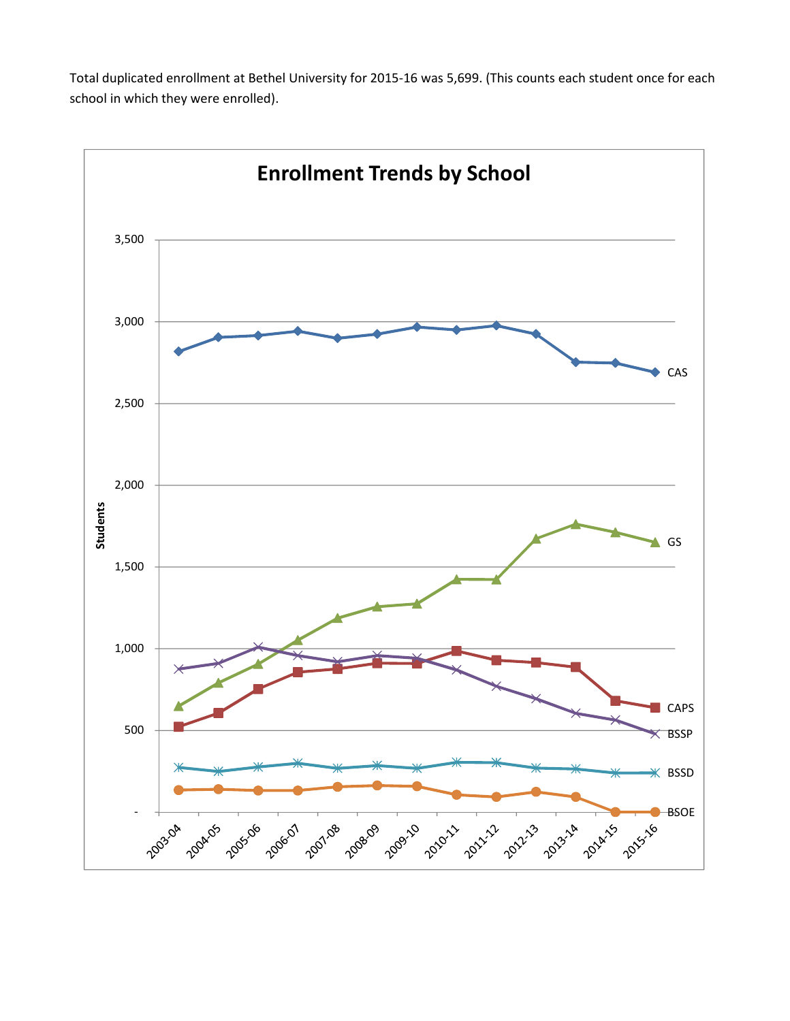Total duplicated enrollment at Bethel University for 2015-16 was 5,699. (This counts each student once for each school in which they were enrolled).

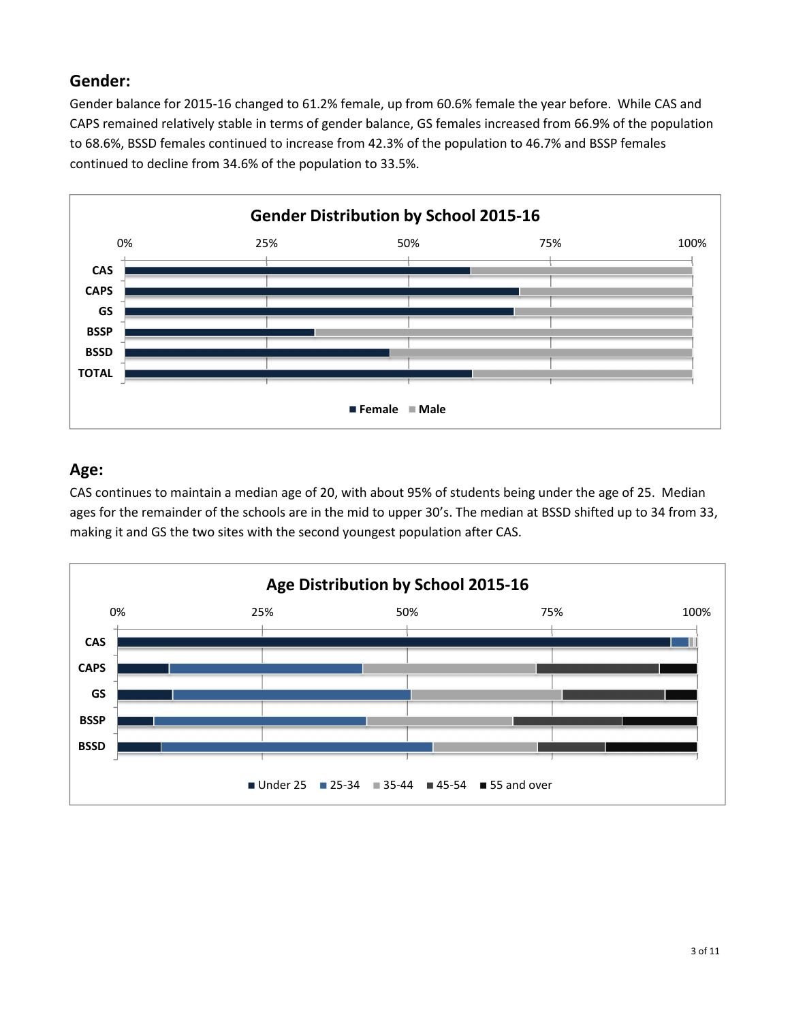#### **Gender:**

Gender balance for 2015-16 changed to 61.2% female, up from 60.6% female the year before. While CAS and CAPS remained relatively stable in terms of gender balance, GS females increased from 66.9% of the population to 68.6%, BSSD females continued to increase from 42.3% of the population to 46.7% and BSSP females continued to decline from 34.6% of the population to 33.5%.



## **Age:**

CAS continues to maintain a median age of 20, with about 95% of students being under the age of 25. Median ages for the remainder of the schools are in the mid to upper 30's. The median at BSSD shifted up to 34 from 33, making it and GS the two sites with the second youngest population after CAS.

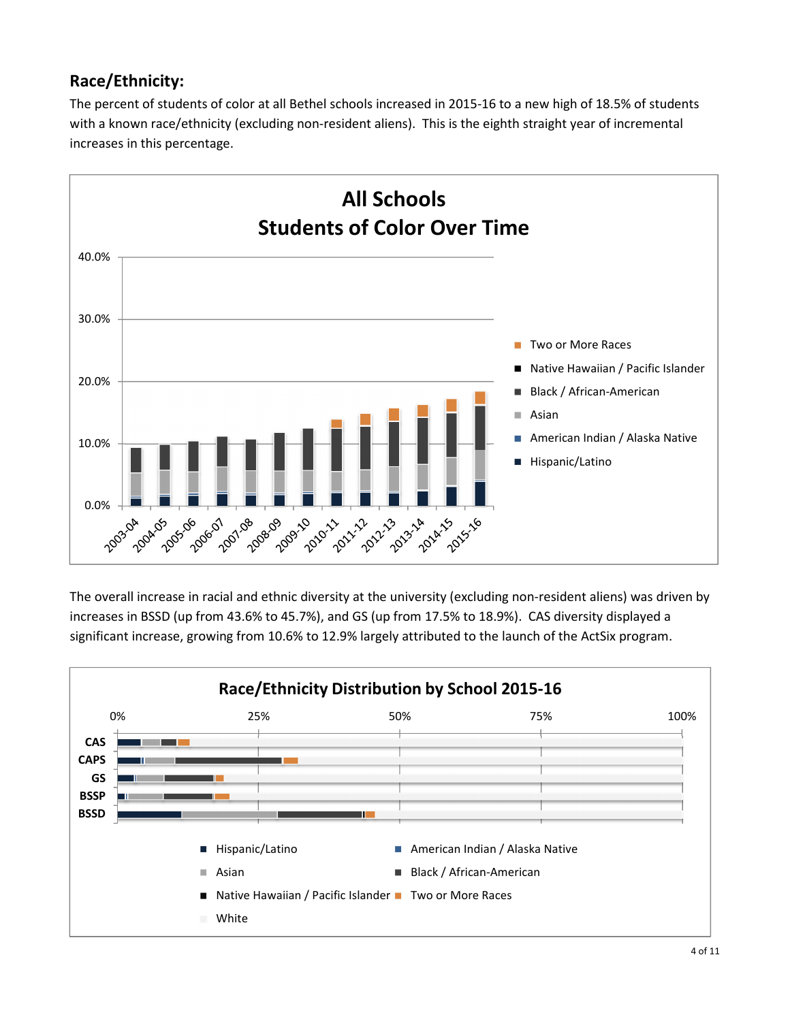## **Race/Ethnicity:**

The percent of students of color at all Bethel schools increased in 2015-16 to a new high of 18.5% of students with a known race/ethnicity (excluding non-resident aliens). This is the eighth straight year of incremental increases in this percentage.



The overall increase in racial and ethnic diversity at the university (excluding non-resident aliens) was driven by increases in BSSD (up from 43.6% to 45.7%), and GS (up from 17.5% to 18.9%). CAS diversity displayed a significant increase, growing from 10.6% to 12.9% largely attributed to the launch of the ActSix program.

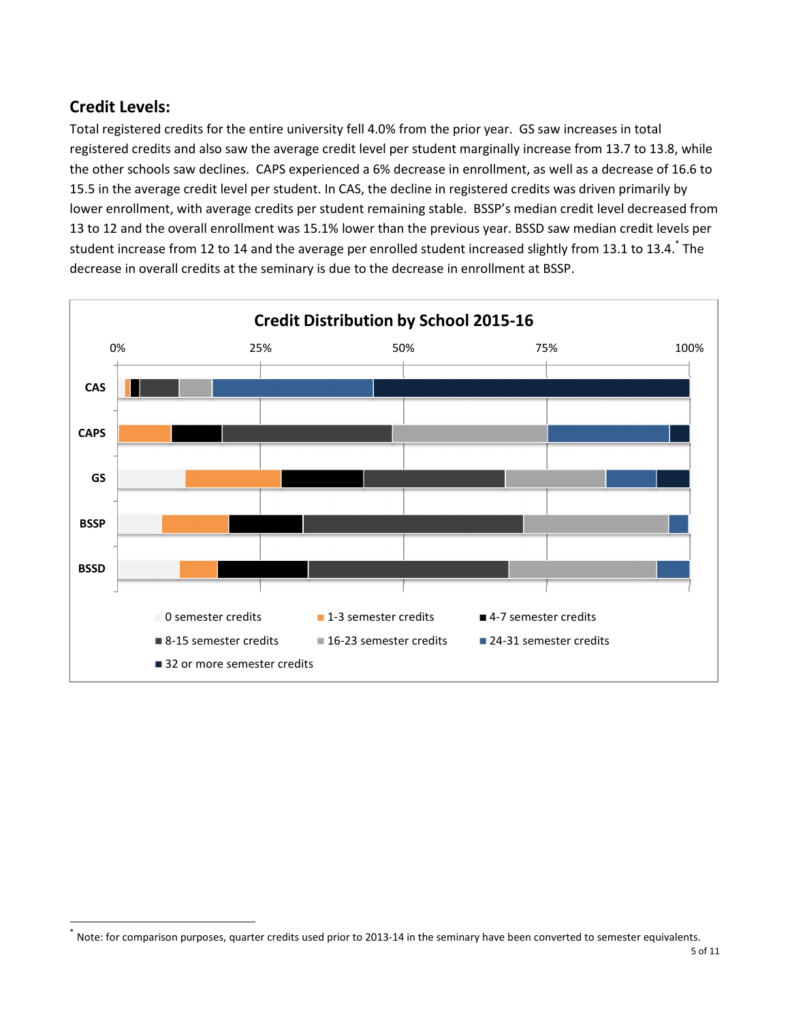## **Credit Levels:**

 $\overline{a}$ 

Total registered credits for the entire university fell 4.0% from the prior year. GS saw increases in total registered credits and also saw the average credit level per student marginally increase from 13.7 to 13.8, while the other schools saw declines. CAPS experienced a 6% decrease in enrollment, as well as a decrease of 16.6 to 15.5 in the average credit level per student. In CAS, the decline in registered credits was driven primarily by lower enrollment, with average credits per student remaining stable. BSSP's median credit level decreased from 13 to 12 and the overall enrollment was 15.1% lower than the previous year. BSSD saw median credit levels per student increase from 12 to 14 and the average per enrolled student increased slightly from 13.1 to 13.4.  $*$  The decrease in overall credits at the seminary is due to the decrease in enrollment at BSSP.



<sup>\*</sup> Note: for comparison purposes, quarter credits used prior to 2013-14 in the seminary have been converted to semester equivalents.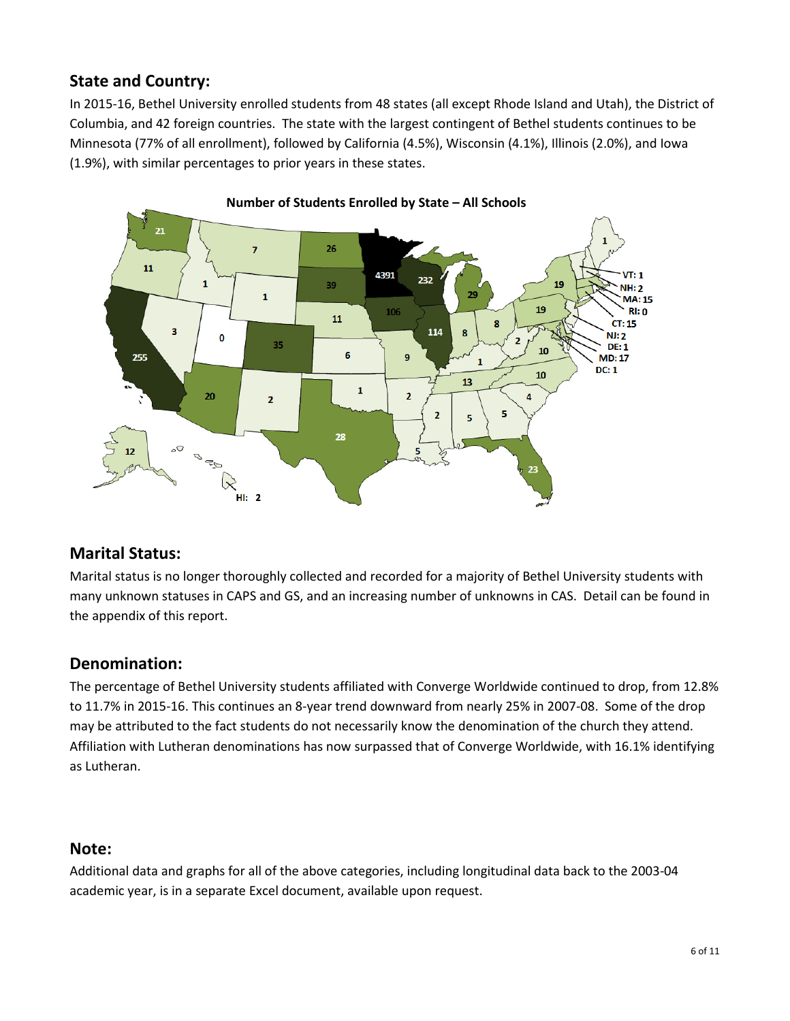## **State and Country:**

In 2015-16, Bethel University enrolled students from 48 states (all except Rhode Island and Utah), the District of Columbia, and 42 foreign countries. The state with the largest contingent of Bethel students continues to be Minnesota (77% of all enrollment), followed by California (4.5%), Wisconsin (4.1%), Illinois (2.0%), and Iowa (1.9%), with similar percentages to prior years in these states.



#### **Number of Students Enrolled by State – All Schools**

#### **Marital Status:**

Marital status is no longer thoroughly collected and recorded for a majority of Bethel University students with many unknown statuses in CAPS and GS, and an increasing number of unknowns in CAS. Detail can be found in the appendix of this report.

#### **Denomination:**

The percentage of Bethel University students affiliated with Converge Worldwide continued to drop, from 12.8% to 11.7% in 2015-16. This continues an 8-year trend downward from nearly 25% in 2007-08. Some of the drop may be attributed to the fact students do not necessarily know the denomination of the church they attend. Affiliation with Lutheran denominations has now surpassed that of Converge Worldwide, with 16.1% identifying as Lutheran.

#### **Note:**

Additional data and graphs for all of the above categories, including longitudinal data back to the 2003-04 academic year, is in a separate Excel document, available upon request.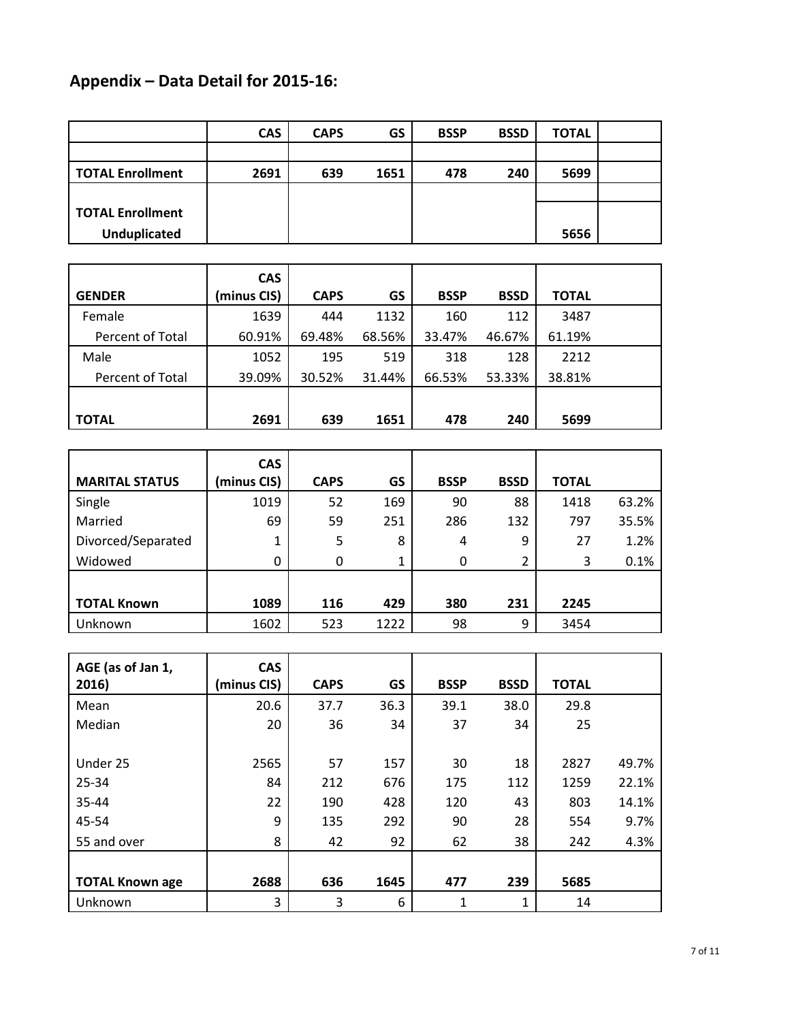# **Appendix – Data Detail for 2015-16:**

|                         | <b>CAS</b> | <b>CAPS</b> | GS<br><b>BSSP</b> |     | <b>BSSD</b> | <b>TOTAL</b> |  |
|-------------------------|------------|-------------|-------------------|-----|-------------|--------------|--|
|                         |            |             |                   |     |             |              |  |
| <b>TOTAL Enrollment</b> | 2691       | 639         | 1651              | 478 | 240         | 5699         |  |
|                         |            |             |                   |     |             |              |  |
| <b>TOTAL Enrollment</b> |            |             |                   |     |             |              |  |
| <b>Unduplicated</b>     |            |             |                   |     |             | 5656         |  |

|                  | <b>CAS</b>  |             |        |             |             |              |  |
|------------------|-------------|-------------|--------|-------------|-------------|--------------|--|
| <b>GENDER</b>    | (minus CIS) | <b>CAPS</b> | GS     | <b>BSSP</b> | <b>BSSD</b> | <b>TOTAL</b> |  |
| Female           | 1639        | 444         | 1132   | 160         | 112         | 3487         |  |
| Percent of Total | 60.91%      | 69.48%      | 68.56% | 33.47%      | 46.67%      | 61.19%       |  |
| Male             | 1052        | 195         | 519    | 318         | 128         | 2212         |  |
| Percent of Total | 39.09%      | 30.52%      | 31.44% | 66.53%      | 53.33%      | 38.81%       |  |
|                  |             |             |        |             |             |              |  |
| <b>TOTAL</b>     | 2691        | 639         | 1651   | 478         | 240         | 5699         |  |

| <b>MARITAL STATUS</b> | <b>CAS</b><br>(minus CIS) | <b>CAPS</b> | GS   | <b>BSSP</b> | <b>BSSD</b> | <b>TOTAL</b> |       |
|-----------------------|---------------------------|-------------|------|-------------|-------------|--------------|-------|
| Single                | 1019                      | 52          | 169  | 90          | 88          | 1418         | 63.2% |
| Married               | 69                        | 59          | 251  | 286         | 132         | 797          | 35.5% |
| Divorced/Separated    | 1                         | 5           | 8    | 4           | 9           | 27           | 1.2%  |
| Widowed               | 0                         | 0           |      | 0           | 2           | 3            | 0.1%  |
|                       |                           |             |      |             |             |              |       |
| <b>TOTAL Known</b>    | 1089                      | 116         | 429  | 380         | 231         | 2245         |       |
| Unknown               | 1602                      | 523         | 1222 | 98          | 9           | 3454         |       |

| AGE (as of Jan 1,      | <b>CAS</b>  |             |      |             |             |              |       |
|------------------------|-------------|-------------|------|-------------|-------------|--------------|-------|
| 2016)                  | (minus CIS) | <b>CAPS</b> | GS   | <b>BSSP</b> | <b>BSSD</b> | <b>TOTAL</b> |       |
| Mean                   | 20.6        | 37.7        | 36.3 | 39.1        | 38.0        | 29.8         |       |
| Median                 | 20          | 36          | 34   | 37          | 34          | 25           |       |
|                        |             |             |      |             |             |              |       |
| Under 25               | 2565        | 57          | 157  | 30          | 18          | 2827         | 49.7% |
| 25-34                  | 84          | 212         | 676  | 175         | 112         | 1259         | 22.1% |
| 35-44                  | 22          | 190         | 428  | 120         | 43          | 803          | 14.1% |
| 45-54                  | 9           | 135         | 292  | 90          | 28          | 554          | 9.7%  |
| 55 and over            | 8           | 42          | 92   | 62          | 38          | 242          | 4.3%  |
|                        |             |             |      |             |             |              |       |
| <b>TOTAL Known age</b> | 2688        | 636         | 1645 | 477         | 239         | 5685         |       |
| Unknown                | 3           | 3           | 6    | 1           | 1           | 14           |       |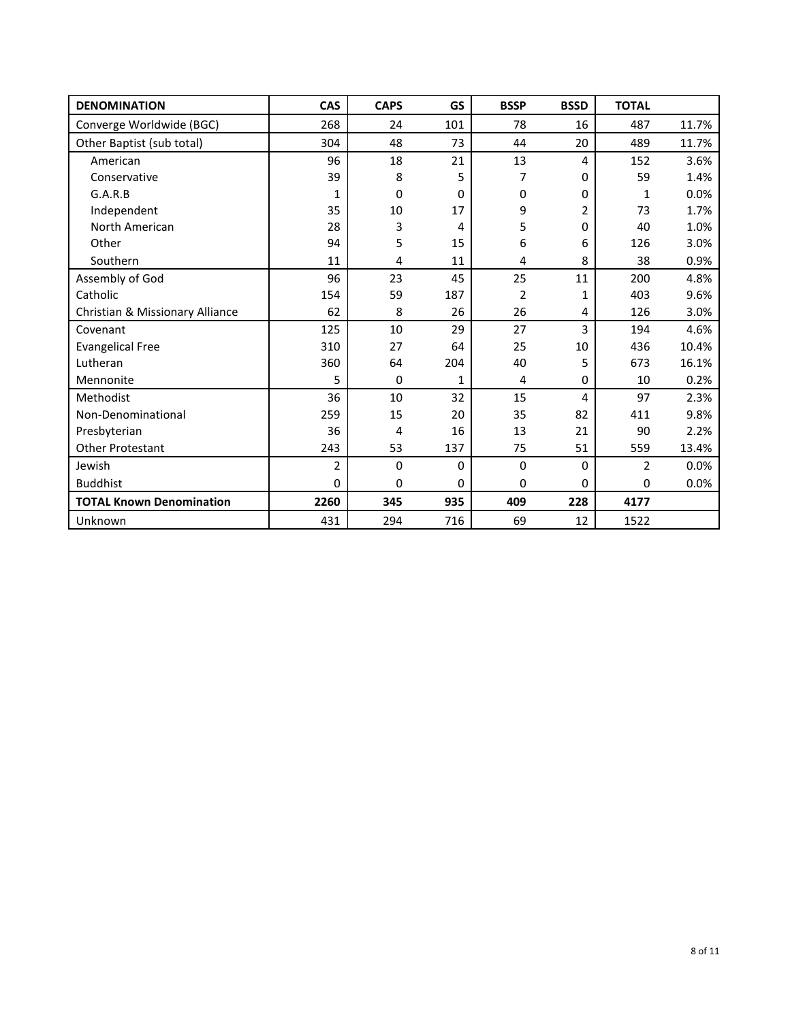| <b>DENOMINATION</b>             | <b>CAS</b>     | <b>CAPS</b> | GS          | <b>BSSP</b> | <b>BSSD</b> | <b>TOTAL</b>   |       |
|---------------------------------|----------------|-------------|-------------|-------------|-------------|----------------|-------|
| Converge Worldwide (BGC)        | 268            | 24          | 101         | 78          | 16          | 487            | 11.7% |
| Other Baptist (sub total)       | 304            | 48          | 73          | 44          | 20          | 489            | 11.7% |
| American                        | 96             | 18          | 21          | 13          | 4           | 152            | 3.6%  |
| Conservative                    | 39             | 8           | 5           | 7           | 0           | 59             | 1.4%  |
| G.A.R.B                         | 1              | 0           | 0           | 0           | $\Omega$    | 1              | 0.0%  |
| Independent                     | 35             | 10          | 17          | 9           | 2           | 73             | 1.7%  |
| North American                  | 28             | 3           | 4           | 5           | $\Omega$    | 40             | 1.0%  |
| Other                           | 94             | 5           | 15          | 6           | 6           | 126            | 3.0%  |
| Southern                        | 11             | 4           | 11          | 4           | 8           | 38             | 0.9%  |
| Assembly of God                 | 96             | 23          | 45          | 25          | 11          | 200            | 4.8%  |
| Catholic                        | 154            | 59          | 187         | 2           | 1           | 403            | 9.6%  |
| Christian & Missionary Alliance | 62             | 8           | 26          | 26          | 4           | 126            | 3.0%  |
| Covenant                        | 125            | 10          | 29          | 27          | 3           | 194            | 4.6%  |
| <b>Evangelical Free</b>         | 310            | 27          | 64          | 25          | 10          | 436            | 10.4% |
| Lutheran                        | 360            | 64          | 204         | 40          | 5           | 673            | 16.1% |
| Mennonite                       | 5              | $\Omega$    | 1           | 4           | $\Omega$    | 10             | 0.2%  |
| Methodist                       | 36             | 10          | 32          | 15          | 4           | 97             | 2.3%  |
| Non-Denominational              | 259            | 15          | 20          | 35          | 82          | 411            | 9.8%  |
| Presbyterian                    | 36             | 4           | 16          | 13          | 21          | 90             | 2.2%  |
| <b>Other Protestant</b>         | 243            | 53          | 137         | 75          | 51          | 559            | 13.4% |
| Jewish                          | $\overline{2}$ | $\mathbf 0$ | $\mathbf 0$ | $\pmb{0}$   | $\Omega$    | $\overline{2}$ | 0.0%  |
| <b>Buddhist</b>                 | $\mathbf 0$    | 0           | 0           | 0           | 0           | $\mathbf 0$    | 0.0%  |
| <b>TOTAL Known Denomination</b> | 2260           | 345         | 935         | 409         | 228         | 4177           |       |
| Unknown                         | 431            | 294         | 716         | 69          | 12          | 1522           |       |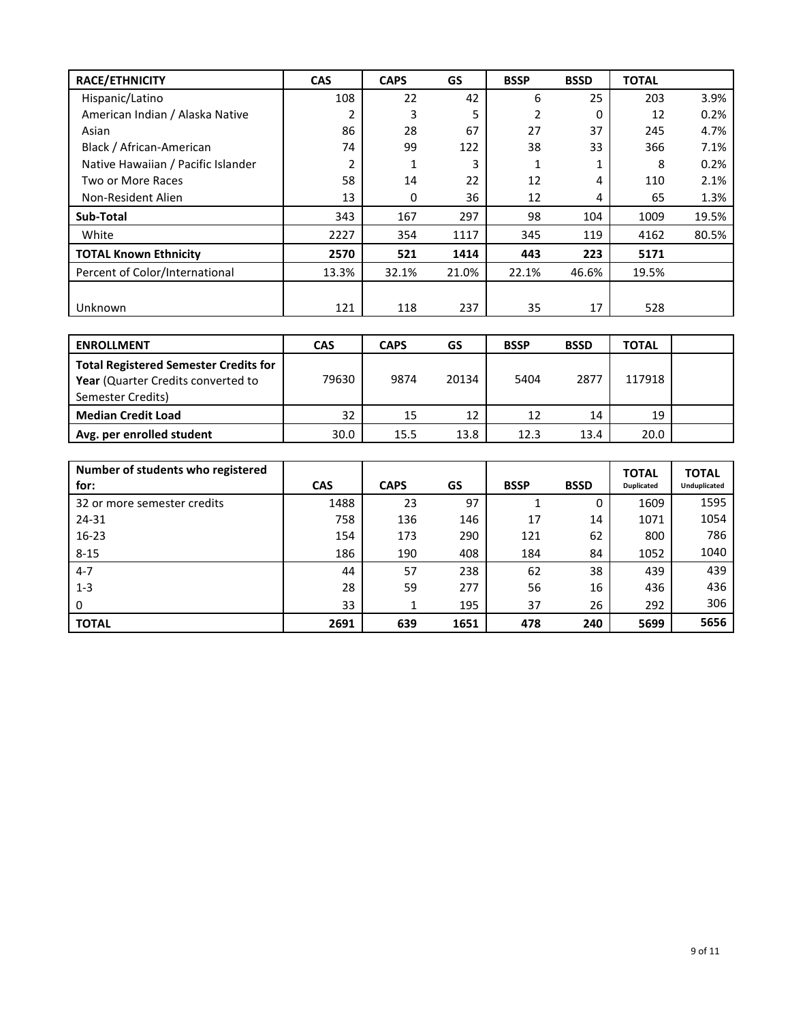| RACE/ETHNICITY                     | <b>CAS</b> | <b>CAPS</b> | GS    | <b>BSSP</b> | <b>BSSD</b> | <b>TOTAL</b> |       |
|------------------------------------|------------|-------------|-------|-------------|-------------|--------------|-------|
| Hispanic/Latino                    | 108        | 22          | 42    | 6           | 25          | 203          | 3.9%  |
| American Indian / Alaska Native    | 2          | 3           | 5     | 2           | 0           | 12           | 0.2%  |
| Asian                              | 86         | 28          | 67    | 27          | 37          | 245          | 4.7%  |
| Black / African-American           | 74         | 99          | 122   | 38          | 33          | 366          | 7.1%  |
| Native Hawaiian / Pacific Islander | 2          | 1           | 3     |             |             | 8            | 0.2%  |
| Two or More Races                  | 58         | 14          | 22    | 12          | 4           | 110          | 2.1%  |
| Non-Resident Alien                 | 13         | 0           | 36    | 12          | 4           | 65           | 1.3%  |
| Sub-Total                          | 343        | 167         | 297   | 98          | 104         | 1009         | 19.5% |
| White                              | 2227       | 354         | 1117  | 345         | 119         | 4162         | 80.5% |
| <b>TOTAL Known Ethnicity</b>       | 2570       | 521         | 1414  | 443         | 223         | 5171         |       |
| Percent of Color/International     | 13.3%      | 32.1%       | 21.0% | 22.1%       | 46.6%       | 19.5%        |       |
|                                    |            |             |       |             |             |              |       |
| Unknown                            | 121        | 118         | 237   | 35          | 17          | 528          |       |

| <b>ENROLLMENT</b>                                                                                       | <b>CAS</b> | <b>CAPS</b> | GS    | <b>BSSP</b> | <b>BSSD</b> | TOTAL  |  |
|---------------------------------------------------------------------------------------------------------|------------|-------------|-------|-------------|-------------|--------|--|
| <b>Total Registered Semester Credits for</b><br>Year (Quarter Credits converted to<br>Semester Credits) | 79630      | 9874        | 20134 | 5404        | 2877        | 117918 |  |
| <b>Median Credit Load</b>                                                                               | 32         | 15          | 12    | 12          | 14          | 19     |  |
| Avg. per enrolled student                                                                               | 30.0       | 15.5        | 13.8  | 12.3        | 13.4        | 20.0   |  |

| Number of students who registered<br>for: | <b>CAS</b> | <b>CAPS</b> | GS   | <b>BSSP</b> | <b>BSSD</b> | <b>TOTAL</b><br><b>Duplicated</b> | <b>TOTAL</b><br>Unduplicated |
|-------------------------------------------|------------|-------------|------|-------------|-------------|-----------------------------------|------------------------------|
| 32 or more semester credits               | 1488       | 23          | 97   |             | 0           | 1609                              | 1595                         |
| 24-31                                     | 758        | 136         | 146  | 17          | 14          | 1071                              | 1054                         |
| $16 - 23$                                 | 154        | 173         | 290  | 121         | 62          | 800                               | 786                          |
| $8 - 15$                                  | 186        | 190         | 408  | 184         | 84          | 1052                              | 1040                         |
| $4 - 7$                                   | 44         | 57          | 238  | 62          | 38          | 439                               | 439                          |
| $1 - 3$                                   | 28         | 59          | 277  | 56          | 16          | 436                               | 436                          |
| 0                                         | 33         |             | 195  | 37          | 26          | 292                               | 306                          |
| <b>TOTAL</b>                              | 2691       | 639         | 1651 | 478         | 240         | 5699                              | 5656                         |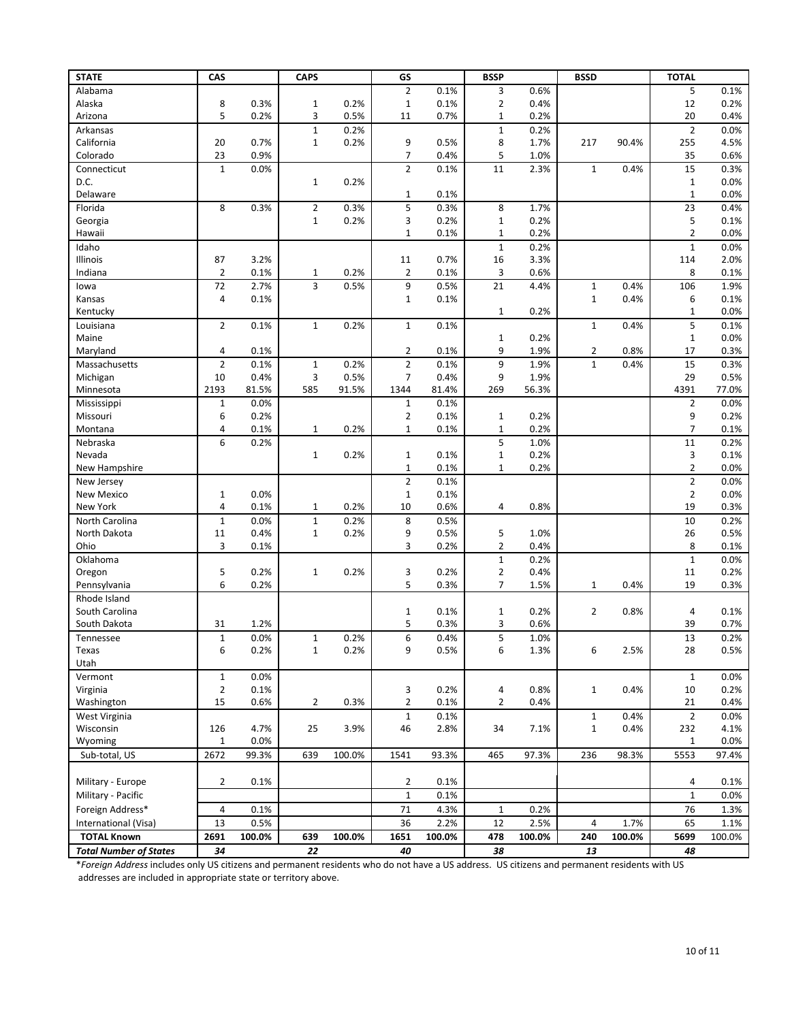| <b>STATE</b>                  | CAS            |              | <b>CAPS</b>    |        | GS             |        | <b>BSSP</b>    |        | <b>BSSD</b>    |        | <b>TOTAL</b>        |              |
|-------------------------------|----------------|--------------|----------------|--------|----------------|--------|----------------|--------|----------------|--------|---------------------|--------------|
| Alabama                       |                |              |                |        | $\overline{2}$ | 0.1%   | 3              | 0.6%   |                |        | 5                   | 0.1%         |
| Alaska                        | 8              | 0.3%         | $\mathbf{1}$   | 0.2%   | $\mathbf{1}$   | 0.1%   | $\overline{2}$ | 0.4%   |                |        | 12                  | 0.2%         |
| Arizona                       | 5              | 0.2%         | 3              | 0.5%   | 11             | 0.7%   | $\mathbf 1$    | 0.2%   |                |        | 20                  | 0.4%         |
| Arkansas                      |                |              | $\mathbf{1}$   | 0.2%   |                |        | $\mathbf 1$    | 0.2%   |                |        | $\mathbf 2$         | 0.0%         |
| California                    | 20             | 0.7%         | $\mathbf{1}$   | 0.2%   | 9              | 0.5%   | 8              | 1.7%   | 217            | 90.4%  | 255                 | 4.5%         |
| Colorado                      | 23             | 0.9%         |                |        | $\overline{7}$ | 0.4%   | 5              | 1.0%   |                |        | 35                  | 0.6%         |
| Connecticut                   | $\mathbf{1}$   | 0.0%         |                |        | $\overline{2}$ | 0.1%   | 11             | 2.3%   | $\mathbf{1}$   | 0.4%   | 15                  | 0.3%         |
| D.C.                          |                |              | $\mathbf{1}$   | 0.2%   |                |        |                |        |                |        | $\mathbf{1}$        | 0.0%         |
| Delaware                      |                |              |                |        | $\mathbf{1}$   | 0.1%   |                |        |                |        | $\mathbf 1$         | 0.0%         |
| Florida                       | 8              | 0.3%         | $\overline{2}$ | 0.3%   | 5              | 0.3%   | 8              | 1.7%   |                |        | 23                  | 0.4%         |
| Georgia                       |                |              | $\mathbf{1}$   | 0.2%   | 3              | 0.2%   | $\mathbf 1$    | 0.2%   |                |        | 5                   | 0.1%         |
| Hawaii                        |                |              |                |        | $\mathbf{1}$   | 0.1%   | $\mathbf{1}$   | 0.2%   |                |        | $\overline{2}$      | 0.0%         |
| Idaho                         |                |              |                |        |                |        | $\mathbf 1$    | 0.2%   |                |        | $\mathbf{1}$        | 0.0%         |
| Illinois                      | 87             | 3.2%         |                |        | 11             | 0.7%   | 16             | 3.3%   |                |        | 114                 | 2.0%         |
| Indiana                       | $\overline{2}$ | 0.1%         | $\mathbf{1}$   | 0.2%   | $\overline{2}$ | 0.1%   | 3              | 0.6%   |                |        | 8                   | 0.1%         |
| lowa                          | 72             | 2.7%         | 3              | 0.5%   | 9              | 0.5%   | 21             | 4.4%   | $\mathbf 1$    | 0.4%   | 106                 | 1.9%         |
| Kansas                        | $\overline{4}$ | 0.1%         |                |        | $\mathbf{1}$   | 0.1%   | $\mathbf{1}$   | 0.2%   | $\mathbf 1$    | 0.4%   | 6<br>$\mathbf{1}$   | 0.1%<br>0.0% |
| Kentucky<br>Louisiana         | $\overline{2}$ | 0.1%         | $\mathbf{1}$   | 0.2%   | $\mathbf{1}$   | 0.1%   |                |        | $\mathbf 1$    | 0.4%   | 5                   | 0.1%         |
| Maine                         |                |              |                |        |                |        | $\mathbf{1}$   | 0.2%   |                |        | $\mathbf{1}$        | 0.0%         |
| Maryland                      | 4              | 0.1%         |                |        | $\overline{2}$ | 0.1%   | 9              | 1.9%   | $\overline{2}$ | 0.8%   | 17                  | 0.3%         |
| Massachusetts                 | $\overline{2}$ | 0.1%         | $\mathbf 1$    | 0.2%   | $\overline{2}$ | 0.1%   | 9              | 1.9%   | $\mathbf 1$    | 0.4%   | 15                  | 0.3%         |
| Michigan                      | 10             | 0.4%         | 3              | 0.5%   | $\overline{7}$ | 0.4%   | 9              | 1.9%   |                |        | 29                  | 0.5%         |
| Minnesota                     | 2193           | 81.5%        | 585            | 91.5%  | 1344           | 81.4%  | 269            | 56.3%  |                |        | 4391                | 77.0%        |
| Mississippi                   | 1              | 0.0%         |                |        | $\mathbf{1}$   | 0.1%   |                |        |                |        | $\overline{2}$      | 0.0%         |
| Missouri                      | 6              | 0.2%         |                |        | $\overline{2}$ | 0.1%   | $\mathbf 1$    | 0.2%   |                |        | 9                   | 0.2%         |
| Montana                       | 4              | 0.1%         | $\mathbf{1}$   | 0.2%   | $\mathbf{1}$   | 0.1%   | $\mathbf 1$    | 0.2%   |                |        | $\overline{7}$      | 0.1%         |
| Nebraska                      | 6              | 0.2%         |                |        |                |        | 5              | 1.0%   |                |        | 11                  | 0.2%         |
| Nevada                        |                |              | $\mathbf{1}$   | 0.2%   | $\mathbf{1}$   | 0.1%   | $\mathbf 1$    | 0.2%   |                |        | 3                   | 0.1%         |
| New Hampshire                 |                |              |                |        | $\mathbf 1$    | 0.1%   | $\mathbf{1}$   | 0.2%   |                |        | $\overline{2}$      | 0.0%         |
| New Jersey                    |                |              |                |        | $\overline{2}$ | 0.1%   |                |        |                |        | $\mathbf 2$         | 0.0%         |
| New Mexico                    | 1              | 0.0%         |                |        | $\mathbf{1}$   | 0.1%   |                |        |                |        | $\overline{2}$      | 0.0%         |
| New York                      | 4              | 0.1%         | $\mathbf{1}$   | 0.2%   | 10             | 0.6%   | 4              | 0.8%   |                |        | 19                  | 0.3%         |
| North Carolina                | $\mathbf{1}$   | 0.0%         | $\mathbf{1}$   | 0.2%   | 8              | 0.5%   |                |        |                |        | 10                  | 0.2%         |
| North Dakota                  | 11             | 0.4%         | $\mathbf{1}$   | 0.2%   | 9              | 0.5%   | 5              | 1.0%   |                |        | 26                  | 0.5%         |
| Ohio                          | 3              | 0.1%         |                |        | 3              | 0.2%   | $\overline{2}$ | 0.4%   |                |        | 8                   | 0.1%         |
| Oklahoma                      |                |              |                |        |                |        | $\mathbf 1$    | 0.2%   |                |        | $\mathbf 1$         | 0.0%         |
| Oregon                        | 5              | 0.2%         | $\mathbf{1}$   | 0.2%   | 3              | 0.2%   | $\overline{2}$ | 0.4%   |                |        | 11                  | 0.2%         |
| Pennsylvania                  | 6              | 0.2%         |                |        | 5              | 0.3%   | $\overline{7}$ | 1.5%   | $\mathbf{1}$   | 0.4%   | 19                  | 0.3%         |
| Rhode Island                  |                |              |                |        |                |        |                |        |                |        |                     |              |
| South Carolina                |                |              |                |        | $\mathbf{1}$   | 0.1%   | $1\,$          | 0.2%   | $\overline{2}$ | 0.8%   | 4                   | 0.1%         |
| South Dakota                  | 31             | 1.2%         |                |        | 5              | 0.3%   | 3              | 0.6%   |                |        | 39                  | 0.7%         |
| Tennessee                     | $\mathbf{1}$   | 0.0%         | $\mathbf{1}$   | 0.2%   | 6              | 0.4%   | 5              | 1.0%   |                |        | 13                  | 0.2%         |
| Texas                         | $\,6\,$        | 0.2%         | $\mathbf{1}$   | 0.2%   | 9              | 0.5%   | 6              | 1.3%   | 6              | 2.5%   | 28                  | 0.5%         |
| Utah                          |                |              |                |        |                |        |                |        |                |        |                     |              |
| Vermont                       | $\mathbf{1}$   | 0.0%         |                |        |                |        |                |        |                |        | $\mathbf{1}$        | 0.0%         |
| Virginia                      | $\overline{2}$ | 0.1%         |                |        | 3              | 0.2%   | 4              | 0.8%   | $\mathbf{1}$   | 0.4%   | 10                  | 0.2%         |
| Washington                    | 15             | 0.6%         | $\overline{2}$ | 0.3%   | $\overline{2}$ | 0.1%   | 2              | 0.4%   |                |        | 21                  | 0.4%         |
| West Virginia                 |                |              |                |        | $\mathbf{1}$   | 0.1%   |                |        | $\mathbf{1}$   | 0.4%   | $\overline{2}$      | 0.0%         |
| Wisconsin<br>Wyoming          | 126<br>1       | 4.7%<br>0.0% | 25             | 3.9%   | 46             | 2.8%   | 34             | 7.1%   | $\mathbf{1}$   | 0.4%   | 232<br>$\mathbf{1}$ | 4.1%<br>0.0% |
| Sub-total, US                 | 2672           | 99.3%        | 639            | 100.0% | 1541           | 93.3%  | 465            | 97.3%  | 236            | 98.3%  | 5553                | 97.4%        |
|                               |                |              |                |        |                |        |                |        |                |        |                     |              |
| Military - Europe             | 2              | 0.1%         |                |        | $\overline{2}$ | 0.1%   |                |        |                |        | 4                   | 0.1%         |
| Military - Pacific            |                |              |                |        | $\mathbf{1}$   | 0.1%   |                |        |                |        | $\mathbf{1}$        | 0.0%         |
| Foreign Address*              | 4              | 0.1%         |                |        | 71             | 4.3%   | $\mathbf{1}$   | 0.2%   |                |        | 76                  |              |
|                               |                |              |                |        |                |        |                |        |                |        |                     | 1.3%         |
| International (Visa)          | 13             | 0.5%         |                |        | 36             | 2.2%   | 12             | 2.5%   | 4              | 1.7%   | 65                  | 1.1%         |
| <b>TOTAL Known</b>            | 2691           | 100.0%       | 639            | 100.0% | 1651           | 100.0% | 478            | 100.0% | 240            | 100.0% | 5699                | 100.0%       |
| <b>Total Number of States</b> | 34             |              | 22             |        | 40             |        | 38             |        | 13             |        | 48                  |              |

\**Foreign Address* includes only US citizens and permanent residents who do not have a US address. US citizens and permanent residents with US addresses are included in appropriate state or territory above.